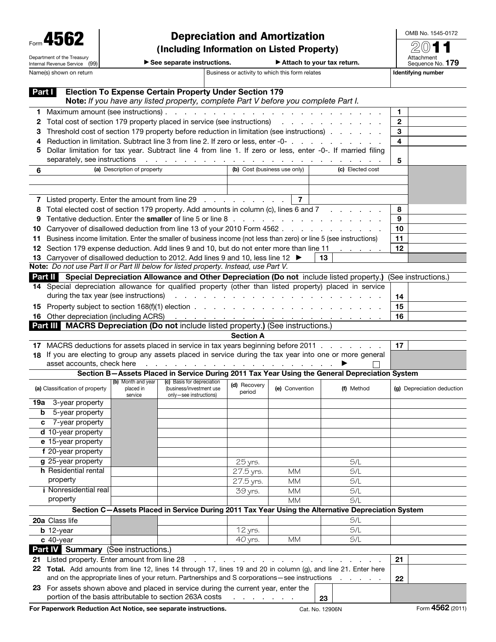| 45<br>Form                 |
|----------------------------|
| Department of the Treasury |
| Internal Revenue Service   |

## Depreciation and Amortization

(Including Information on Listed Property)

OMB No. 1545-0172 2011

Attachment<br>Sequence No. **179** 

▶ See separate instructions. ▶ Attach to your tax return.

Name(s) shown on return **Business or activity to which this form relates** Identifying number

|                                                                                                                                               | Part I                                                                                                     |                         | <b>Election To Expense Certain Property Under Section 179</b><br>Note: If you have any listed property, complete Part V before you complete Part I. |                               |                |                                                                                                              |                            |  |  |  |  |  |  |
|-----------------------------------------------------------------------------------------------------------------------------------------------|------------------------------------------------------------------------------------------------------------|-------------------------|-----------------------------------------------------------------------------------------------------------------------------------------------------|-------------------------------|----------------|--------------------------------------------------------------------------------------------------------------|----------------------------|--|--|--|--|--|--|
| 1.                                                                                                                                            | Maximum amount (see instructions).                                                                         | 1                       |                                                                                                                                                     |                               |                |                                                                                                              |                            |  |  |  |  |  |  |
| 2                                                                                                                                             | Total cost of section 179 property placed in service (see instructions)                                    | $\overline{\mathbf{c}}$ |                                                                                                                                                     |                               |                |                                                                                                              |                            |  |  |  |  |  |  |
| 3                                                                                                                                             | Threshold cost of section 179 property before reduction in limitation (see instructions)                   | 3                       |                                                                                                                                                     |                               |                |                                                                                                              |                            |  |  |  |  |  |  |
| 4                                                                                                                                             | Reduction in limitation. Subtract line 3 from line 2. If zero or less, enter -0-                           |                         | 4                                                                                                                                                   |                               |                |                                                                                                              |                            |  |  |  |  |  |  |
| 5                                                                                                                                             | Dollar limitation for tax year. Subtract line 4 from line 1. If zero or less, enter -0-. If married filing |                         |                                                                                                                                                     |                               |                |                                                                                                              |                            |  |  |  |  |  |  |
|                                                                                                                                               | separately, see instructions                                                                               | 5                       |                                                                                                                                                     |                               |                |                                                                                                              |                            |  |  |  |  |  |  |
| 6                                                                                                                                             | (a) Description of property                                                                                |                         |                                                                                                                                                     |                               |                |                                                                                                              |                            |  |  |  |  |  |  |
|                                                                                                                                               |                                                                                                            |                         |                                                                                                                                                     |                               |                |                                                                                                              |                            |  |  |  |  |  |  |
|                                                                                                                                               | $\overline{7}$                                                                                             |                         |                                                                                                                                                     |                               |                |                                                                                                              |                            |  |  |  |  |  |  |
|                                                                                                                                               | 7 Listed property. Enter the amount from line 29                                                           |                         |                                                                                                                                                     |                               |                |                                                                                                              |                            |  |  |  |  |  |  |
| 8                                                                                                                                             |                                                                                                            |                         | Total elected cost of section 179 property. Add amounts in column (c), lines 6 and 7                                                                |                               |                |                                                                                                              | 8                          |  |  |  |  |  |  |
| 9                                                                                                                                             |                                                                                                            |                         |                                                                                                                                                     |                               |                |                                                                                                              | 9                          |  |  |  |  |  |  |
| 10                                                                                                                                            |                                                                                                            |                         | Carryover of disallowed deduction from line 13 of your 2010 Form 4562                                                                               |                               |                |                                                                                                              | 10                         |  |  |  |  |  |  |
| 11                                                                                                                                            |                                                                                                            |                         | Business income limitation. Enter the smaller of business income (not less than zero) or line 5 (see instructions)                                  |                               |                |                                                                                                              | 11                         |  |  |  |  |  |  |
|                                                                                                                                               |                                                                                                            |                         | 12 Section 179 expense deduction. Add lines 9 and 10, but do not enter more than line 11                                                            |                               |                |                                                                                                              | 12                         |  |  |  |  |  |  |
|                                                                                                                                               |                                                                                                            |                         | 13 Carryover of disallowed deduction to 2012. Add lines 9 and 10, less line 12 $\blacktriangleright$                                                |                               |                | 13                                                                                                           |                            |  |  |  |  |  |  |
|                                                                                                                                               |                                                                                                            |                         | Note: Do not use Part II or Part III below for listed property. Instead, use Part V.                                                                |                               |                |                                                                                                              |                            |  |  |  |  |  |  |
|                                                                                                                                               |                                                                                                            |                         |                                                                                                                                                     |                               |                | Part II Special Depreciation Allowance and Other Depreciation (Do not include listed property.)              | (See instructions.)        |  |  |  |  |  |  |
|                                                                                                                                               |                                                                                                            |                         |                                                                                                                                                     |                               |                | 14 Special depreciation allowance for qualified property (other than listed property) placed in service      |                            |  |  |  |  |  |  |
|                                                                                                                                               | during the tax year (see instructions)                                                                     |                         |                                                                                                                                                     | and a strain and a strain and |                |                                                                                                              | 14                         |  |  |  |  |  |  |
| 15                                                                                                                                            |                                                                                                            |                         |                                                                                                                                                     |                               |                |                                                                                                              | 15                         |  |  |  |  |  |  |
|                                                                                                                                               | 16 Other depreciation (including ACRS)                                                                     |                         |                                                                                                                                                     |                               |                | والمتعاون والمتعاون والمتعاون والمتعاون والمتعاون والمتعاون والمتعاون                                        | 16                         |  |  |  |  |  |  |
|                                                                                                                                               |                                                                                                            |                         | Part III MACRS Depreciation (Do not include listed property.) (See instructions.)                                                                   |                               |                |                                                                                                              |                            |  |  |  |  |  |  |
|                                                                                                                                               |                                                                                                            |                         |                                                                                                                                                     | <b>Section A</b>              |                |                                                                                                              |                            |  |  |  |  |  |  |
|                                                                                                                                               |                                                                                                            |                         | 17 MACRS deductions for assets placed in service in tax years beginning before 2011                                                                 |                               |                |                                                                                                              | 17                         |  |  |  |  |  |  |
|                                                                                                                                               | 18 If you are electing to group any assets placed in service during the tax year into one or more general  |                         |                                                                                                                                                     |                               |                |                                                                                                              |                            |  |  |  |  |  |  |
| and the contract of the contract of the con-<br>Section B-Assets Placed in Service During 2011 Tax Year Using the General Depreciation System |                                                                                                            |                         |                                                                                                                                                     |                               |                |                                                                                                              |                            |  |  |  |  |  |  |
|                                                                                                                                               | asset accounts, check here                                                                                 |                         |                                                                                                                                                     |                               |                |                                                                                                              |                            |  |  |  |  |  |  |
|                                                                                                                                               |                                                                                                            | (b) Month and year      | (c) Basis for depreciation                                                                                                                          |                               |                |                                                                                                              |                            |  |  |  |  |  |  |
|                                                                                                                                               | (a) Classification of property                                                                             | placed in               | (business/investment use                                                                                                                            | (d) Recovery<br>period        | (e) Convention | (f) Method                                                                                                   | (g) Depreciation deduction |  |  |  |  |  |  |
| 19а                                                                                                                                           | 3-year property                                                                                            | service                 | only-see instructions)                                                                                                                              |                               |                |                                                                                                              |                            |  |  |  |  |  |  |
| b                                                                                                                                             | 5-year property                                                                                            |                         |                                                                                                                                                     |                               |                |                                                                                                              |                            |  |  |  |  |  |  |
| С                                                                                                                                             | 7-year property                                                                                            |                         |                                                                                                                                                     |                               |                |                                                                                                              |                            |  |  |  |  |  |  |
|                                                                                                                                               | d 10-year property                                                                                         |                         |                                                                                                                                                     |                               |                |                                                                                                              |                            |  |  |  |  |  |  |
|                                                                                                                                               | e 15-year property                                                                                         |                         |                                                                                                                                                     |                               |                |                                                                                                              |                            |  |  |  |  |  |  |
|                                                                                                                                               | f 20-year property                                                                                         |                         |                                                                                                                                                     |                               |                |                                                                                                              |                            |  |  |  |  |  |  |
|                                                                                                                                               | g 25-year property                                                                                         |                         |                                                                                                                                                     | 25 yrs.                       |                | S/L                                                                                                          |                            |  |  |  |  |  |  |
|                                                                                                                                               | h Residential rental                                                                                       |                         |                                                                                                                                                     | 27.5 yrs.                     | <b>MM</b>      | S/L                                                                                                          |                            |  |  |  |  |  |  |
|                                                                                                                                               | property                                                                                                   |                         |                                                                                                                                                     | 27.5 yrs.                     | <b>MM</b>      | S/L                                                                                                          |                            |  |  |  |  |  |  |
|                                                                                                                                               | <i>i</i> Nonresidential real                                                                               |                         |                                                                                                                                                     | 39 yrs.                       | <b>MM</b>      | S/L                                                                                                          |                            |  |  |  |  |  |  |
|                                                                                                                                               | property                                                                                                   |                         |                                                                                                                                                     |                               | <b>MM</b>      | S/L                                                                                                          |                            |  |  |  |  |  |  |
|                                                                                                                                               |                                                                                                            |                         |                                                                                                                                                     |                               |                | Section C-Assets Placed in Service During 2011 Tax Year Using the Alternative Depreciation System            |                            |  |  |  |  |  |  |
|                                                                                                                                               | 20a Class life                                                                                             |                         |                                                                                                                                                     |                               |                | S/L                                                                                                          |                            |  |  |  |  |  |  |
|                                                                                                                                               | $b$ 12-year                                                                                                |                         |                                                                                                                                                     | 12 yrs.                       |                | S/L                                                                                                          |                            |  |  |  |  |  |  |
|                                                                                                                                               | $c$ 40-year                                                                                                |                         |                                                                                                                                                     | 40 yrs.                       | <b>MM</b>      | S/L                                                                                                          |                            |  |  |  |  |  |  |
|                                                                                                                                               | Part IV Summary (See instructions.)                                                                        |                         |                                                                                                                                                     |                               |                |                                                                                                              |                            |  |  |  |  |  |  |
| 21                                                                                                                                            | Listed property. Enter amount from line 28                                                                 |                         |                                                                                                                                                     |                               |                |                                                                                                              | 21                         |  |  |  |  |  |  |
| 22                                                                                                                                            |                                                                                                            |                         |                                                                                                                                                     |                               |                | Total. Add amounts from line 12, lines 14 through 17, lines 19 and 20 in column (g), and line 21. Enter here |                            |  |  |  |  |  |  |
|                                                                                                                                               |                                                                                                            |                         | and on the appropriate lines of your return. Partnerships and S corporations—see instructions                                                       |                               |                |                                                                                                              | 22                         |  |  |  |  |  |  |
|                                                                                                                                               |                                                                                                            |                         | 23 For assets shown above and placed in service during the current year, enter the<br>portion of the basis attributable to section 263A costs       |                               |                | 23                                                                                                           |                            |  |  |  |  |  |  |